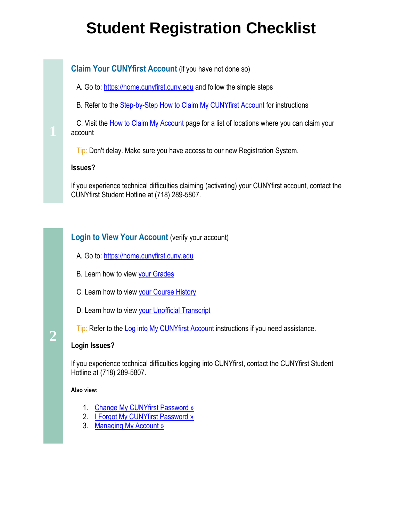# **Student Registration Checklist**

# **Claim Your CUNYfirst Account** (if you have not done so)

A. Go to: [https://home.cunyfirst.cuny.edu](https://home.cunyfirst.cuny.edu/) and follow the simple steps

B. Refer to the **Step-by-Step How to Claim My CUNYfirst Account for instructions** 

C. Visit the **How to Claim My Account** page for a list of locations where you can claim your account

Tip: Don't delay. Make sure you have access to our new Registration System.

#### **Issues?**

If you experience technical difficulties claiming (activating) your CUNYfirst account, contact the CUNYfirst Student Hotline at (718) 289-5807.

# **Login to View Your Account** (verify your account)

- A. Go to: [https://home.cunyfirst.cuny.edu](https://home.cunyfirst.cuny.edu/)
- B. Learn how to view [your Grades](http://www.cuny.edu/about/administration/offices/CIS/CUNYfirst/training/students/View_Grades.pdf)
- C. Learn how to view [your Course History](http://www.cuny.edu/about/administration/offices/CIS/CUNYfirst/training/students/View_Course_History.pdf)
- D. Learn how to view [your Unofficial Transcript](http://www.cuny.edu/about/administration/offices/CIS/CUNYfirst/training/students/View_Unofficial_Transcript.pdf)
- Tip: Refer to the [Log into My CUNYfirst Account](http://www.cuny.edu/about/administration/offices/CIS/CUNYfirst/training/students/Log_into.pdf) instructions if you need assistance.

#### **Login Issues?**

If you experience technical difficulties logging into CUNYfirst, contact the CUNYfirst Student Hotline at (718) 289-5807.

#### **Also view:**

**2** 

- 1. [Change My CUNYfirst Password »](http://www.cuny.edu/about/administration/offices/CIS/CUNYfirst/StudentAdministration/StudentSelfService/Change_Password.pdf)
- 2. [I Forgot My CUNYfirst Password »](http://www.cuny.edu/about/administration/offices/CIS/CUNYfirst/StudentAdministration/StudentSelfService/I_Forgot_My_CUNYfirst_Password.pdf)
- 3. [Managing My Account »](https://wa01.bcc.cuny.edu/cunyfirst/studentservices/student-managing-my-account.html)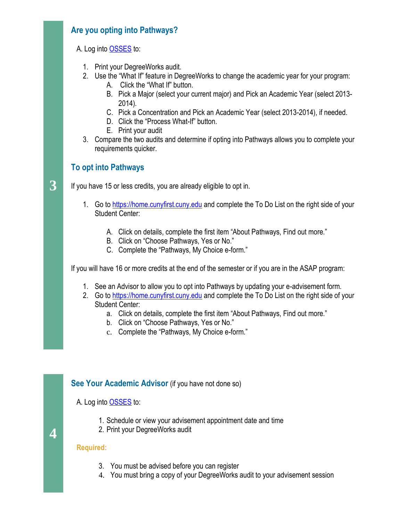# **Are you opting into Pathways?**

A. Log into [OSSES](https://wa01.bcc.cuny.edu/) to:

- 1. Print your DegreeWorks audit.
- 2. Use the "What If" feature in DegreeWorks to change the academic year for your program:
	- A. Click the "What If" button.
	- B. Pick a Major (select your current major) and Pick an Academic Year (select 2013- 2014).
	- C. Pick a Concentration and Pick an Academic Year (select 2013-2014), if needed.
	- D. Click the "Process What-If" button.
	- E. Print your audit
- 3. Compare the two audits and determine if opting into Pathways allows you to complete your requirements quicker.

# **To opt into Pathways**

If you have 15 or less credits, you are already eligible to opt in.

- 1. Go to [https://home.cunyfirst.cuny.edu](https://home.cunyfirst.cuny.edu/) and complete the To Do List on the right side of your Student Center:
	- A. Click on details, complete the first item "About Pathways, Find out more."
	- B. Click on "Choose Pathways, Yes or No."
	- C. Complete the "Pathways, My Choice e-form."

If you will have 16 or more credits at the end of the semester or if you are in the ASAP program:

- 1. See an Advisor to allow you to opt into Pathways by updating your e-advisement form.
- 2. Go to [https://home.cunyfirst.cuny.edu](https://home.cunyfirst.cuny.edu/) and complete the To Do List on the right side of your Student Center:
	- a. Click on details, complete the first item "About Pathways, Find out more."
	- b. Click on "Choose Pathways, Yes or No."
	- c. Complete the "Pathways, My Choice e-form."

#### **See Your Academic Advisor** (if you have not done so)

A. Log into [OSSES](https://wa01.bcc.cuny.edu/) to:

- 1. Schedule or view your advisement appointment date and time
- 2. Print your DegreeWorks audit

#### **Required:**

**4**

- 3. You must be advised before you can register
- 4. You must bring a copy of your DegreeWorks audit to your advisement session

**3**